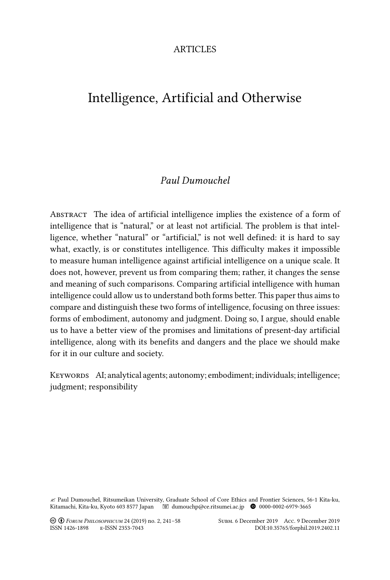## **ARTICLES**

# Intelligence, Artificial and Otherwise

# *Paul Dumouchel*

Abstract The idea of artificial intelligence implies the existence of a form of intelligence that is "natural," or at least not artificial. The problem is that intelligence, whether "natural" or "artificial," is not well defined: it is hard to say what, exactly, is or constitutes intelligence. This difficulty makes it impossible to measure human intelligence against artificial intelligence on a unique scale. It does not, however, prevent us from comparing them; rather, it changes the sense and meaning of such comparisons. Comparing artificial intelligence with human intelligence could allow us to understand both forms better. This paper thus aims to compare and distinguish these two forms of intelligence, focusing on three issues: forms of embodiment, autonomy and judgment. Doing so, I argue, should enable us to have a better view of the promises and limitations of present-day artificial intelligence, along with its benefits and dangers and the place we should make for it in our culture and society.

KEYWORDS AI; analytical agents; autonomy; embodiment; individuals; intelligence; judgment; responsibility

" Paul Dumouchel, Ritsumeikan University, Graduate School of Core Ethics and Frontier Sciences, 56-1 Kita-ku, Kitamachi, Kita-ku, Kyoto 603 8577 Japan dumouchp@ce.ritsumei.ac.jp B 0000-0002-6979-3665

! " *Forum Philosophicum* 24 (2019) no. 2, 241–58 Subm. 6 December 2019 Acc. 9 December 2019

ISSN 1426-1898 e-ISSN 2353-7043 DOI:10.35765/forphil.2019.2402.11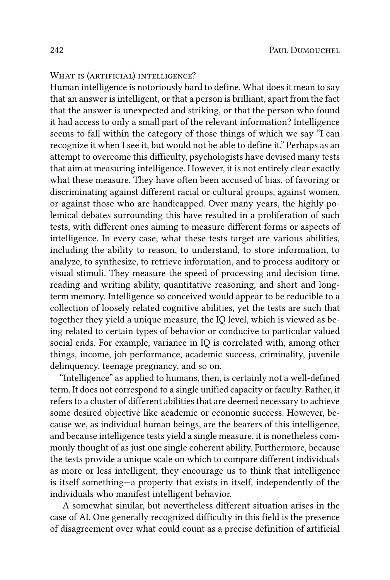### WHAT IS (ARTIFICIAL) INTELLIGENCE?

Human intelligence is notoriously hard to define. What does it mean to say that an answer is intelligent, or that a person is brilliant, apart from the fact that the answer is unexpected and striking, or that the person who found it had access to only a small part of the relevant information? Intelligence seems to fall within the category of those things of which we say "I can recognize it when I see it, but would not be able to define it." Perhaps as an attempt to overcome this difficulty, psychologists have devised many tests that aim at measuring intelligence. However, it is not entirely clear exactly what these measure. They have often been accused of bias, of favoring or discriminating against different racial or cultural groups, against women, or against those who are handicapped. Over many years, the highly polemical debates surrounding this have resulted in a proliferation of such tests, with different ones aiming to measure different forms or aspects of intelligence. In every case, what these tests target are various abilities, including the ability to reason, to understand, to store information, to analyze, to synthesize, to retrieve information, and to process auditory or visual stimuli. They measure the speed of processing and decision time, reading and writing ability, quantitative reasoning, and short and longterm memory. Intelligence so conceived would appear to be reducible to a collection of loosely related cognitive abilities, yet the tests are such that together they yield a unique measure, the IQ level, which is viewed as being related to certain types of behavior or conducive to particular valued social ends. For example, variance in IQ is correlated with, among other things, income, job performance, academic success, criminality, juvenile delinquency, teenage pregnancy, and so on.

"Intelligence" as applied to humans, then, is certainly not a well-defined term. It does not correspond to a single unified capacity or faculty. Rather, it refers to a cluster of different abilities that are deemed necessary to achieve some desired objective like academic or economic success. However, because we, as individual human beings, are the bearers of this intelligence, and because intelligence tests yield a single measure, it is nonetheless commonly thought of as just one single coherent ability. Furthermore, because the tests provide a unique scale on which to compare different individuals as more or less intelligent, they encourage us to think that intelligence is itself something—a property that exists in itself, independently of the individuals who manifest intelligent behavior.

A somewhat similar, but nevertheless different situation arises in the case of AI. One generally recognized difficulty in this field is the presence of disagreement over what could count as a precise definition of artificial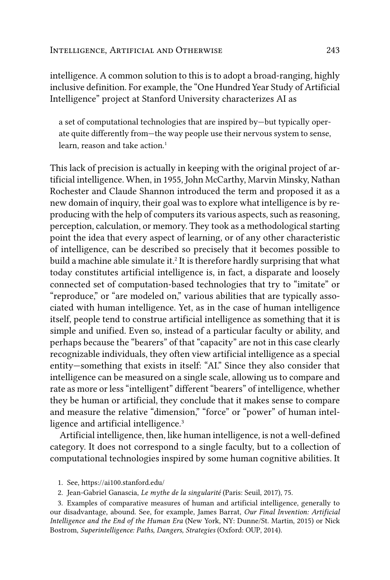intelligence. A common solution to this is to adopt a broad-ranging, highly inclusive definition. For example, the "One Hundred Year Study of Artificial Intelligence" project at Stanford University characterizes AI as

a set of computational technologies that are inspired by—but typically operate quite differently from—the way people use their nervous system to sense, learn, reason and take action.<sup>1</sup>

This lack of precision is actually in keeping with the original project of artificial intelligence. When, in 1955, John McCarthy, Marvin Minsky, Nathan Rochester and Claude Shannon introduced the term and proposed it as a new domain of inquiry, their goal was to explore what intelligence is by reproducing with the help of computers its various aspects, such as reasoning, perception, calculation, or memory. They took as a methodological starting point the idea that every aspect of learning, or of any other characteristic of intelligence, can be described so precisely that it becomes possible to build a machine able simulate it.<sup>2</sup> It is therefore hardly surprising that what today constitutes artificial intelligence is, in fact, a disparate and loosely connected set of computation-based technologies that try to "imitate" or "reproduce," or "are modeled on," various abilities that are typically associated with human intelligence. Yet, as in the case of human intelligence itself, people tend to construe artificial intelligence as something that it is simple and unified. Even so, instead of a particular faculty or ability, and perhaps because the "bearers" of that "capacity" are not in this case clearly recognizable individuals, they often view artificial intelligence as a special entity—something that exists in itself: "AI." Since they also consider that intelligence can be measured on a single scale, allowing us to compare and rate as more or less "intelligent" different "bearers" of intelligence, whether they be human or artificial, they conclude that it makes sense to compare and measure the relative "dimension," "force" or "power" of human intelligence and artificial intelligence.<sup>3</sup>

Artificial intelligence, then, like human intelligence, is not a well-defined category. It does not correspond to a single faculty, but to a collection of computational technologies inspired by some human cognitive abilities. It

- 1. See, https://ai100.stanford.edu/
- 2. Jean-Gabriel Ganascia, *Le mythe de la singularité* (Paris: Seuil, 2017), 75.

<sup>3.</sup> Examples of comparative measures of human and artificial intelligence, generally to our disadvantage, abound. See, for example, James Barrat, *Our Final Invention: Artificial Intelligence and the End of the Human Era* (New York, NY: Dunne/St. Martin, 2015) or Nick Bostrom, *Superintelligence: Paths, Dangers, Strategies* (Oxford: OUP, 2014).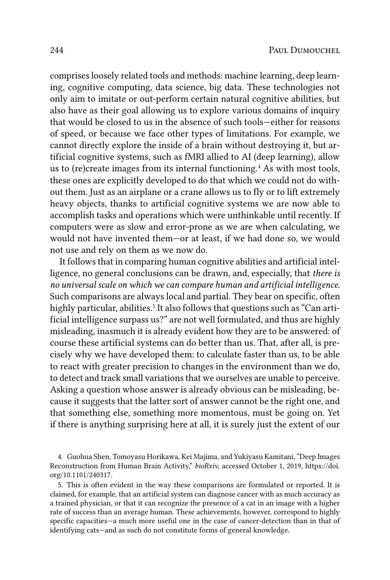comprises loosely related tools and methods: machine learning, deep learning, cognitive computing, data science, big data. These technologies not only aim to imitate or out-perform certain natural cognitive abilities, but also have as their goal allowing us to explore various domains of inquiry that would be closed to us in the absence of such tools—either for reasons of speed, or because we face other types of limitations. For example, we cannot directly explore the inside of a brain without destroying it, but artificial cognitive systems, such as fMRI allied to AI (deep learning), allow us to (re)create images from its internal functioning.<sup>4</sup> As with most tools, these ones are explicitly developed to do that which we could not do without them. Just as an airplane or a crane allows us to fly or to lift extremely heavy objects, thanks to artificial cognitive systems we are now able to accomplish tasks and operations which were unthinkable until recently. If computers were as slow and error-prone as we are when calculating, we would not have invented them—or at least, if we had done so, we would not use and rely on them as we now do.

It follows that in comparing human cognitive abilities and artificial intelligence, no general conclusions can be drawn, and, especially, that *there is no universal scale on which we can compare human and artificial intelligence*. Such comparisons are always local and partial. They bear on specific, often highly particular, abilities.<sup>5</sup> It also follows that questions such as "Can artificial intelligence surpass us?" are not well formulated, and thus are highly misleading, inasmuch it is already evident how they are to be answered: of course these artificial systems can do better than us. That, after all, is precisely why we have developed them: to calculate faster than us, to be able to react with greater precision to changes in the environment than we do, to detect and track small variations that we ourselves are unable to perceive. Asking a question whose answer is already obvious can be misleading, because it suggests that the latter sort of answer cannot be the right one, and that something else, something more momentous, must be going on. Yet if there is anything surprising here at all, it is surely just the extent of our

4. Guohua Shen, Tomoyasu Horikawa, Kei Majima, and Yukiyasu Kamitani, "Deep Images Reconstruction from Human Brain Activity," *bioRxiv*, accessed October 1, 2019, https://doi. org/10.1101/240317.

5. This is often evident in the way these comparisons are formulated or reported. It is claimed, for example, that an artificial system can diagnose cancer with as much accuracy as a trained physician, or that it can recognize the presence of a cat in an image with a higher rate of success than an average human. These achievements, however, correspond to highly specific capacities—a much more useful one in the case of cancer-detection than in that of identifying cats—and as such do not constitute forms of general knowledge.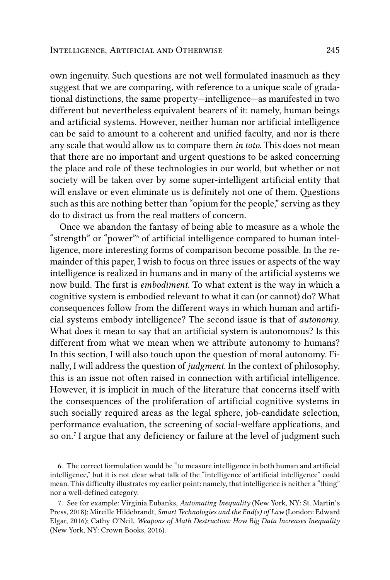own ingenuity. Such questions are not well formulated inasmuch as they suggest that we are comparing, with reference to a unique scale of gradational distinctions, the same property—intelligence—as manifested in two different but nevertheless equivalent bearers of it: namely, human beings and artificial systems. However, neither human nor artificial intelligence can be said to amount to a coherent and unified faculty, and nor is there any scale that would allow us to compare them *in toto*. This does not mean that there are no important and urgent questions to be asked concerning the place and role of these technologies in our world, but whether or not society will be taken over by some super-intelligent artificial entity that will enslave or even eliminate us is definitely not one of them. Questions such as this are nothing better than "opium for the people," serving as they do to distract us from the real matters of concern.

Once we abandon the fantasy of being able to measure as a whole the "strength" or "power"<sup>6</sup> of artificial intelligence compared to human intelligence, more interesting forms of comparison become possible. In the remainder of this paper, I wish to focus on three issues or aspects of the way intelligence is realized in humans and in many of the artificial systems we now build. The first is *embodiment*. To what extent is the way in which a cognitive system is embodied relevant to what it can (or cannot) do? What consequences follow from the different ways in which human and artificial systems embody intelligence? The second issue is that of *autonomy*. What does it mean to say that an artificial system is autonomous? Is this different from what we mean when we attribute autonomy to humans? In this section, I will also touch upon the question of moral autonomy. Finally, I will address the question of *judgment*. In the context of philosophy, this is an issue not often raised in connection with artificial intelligence. However, it is implicit in much of the literature that concerns itself with the consequences of the proliferation of artificial cognitive systems in such socially required areas as the legal sphere, job-candidate selection, performance evaluation, the screening of social-welfare applications, and so on.7 I argue that any deficiency or failure at the level of judgment such

6. The correct formulation would be "to measure intelligence in both human and artificial intelligence," but it is not clear what talk of the "intelligence of artificial intelligence" could mean. This difficulty illustrates my earlier point: namely, that intelligence is neither a "thing" nor a well-defined category.

7. See for example: Virginia Eubanks, *Automating Inequality* (New York, NY: St. Martin's Press, 2018); Mireille Hildebrandt, *Smart Technologies and the End(s) of Law* (London: Edward Elgar, 2016); Cathy O'Neil, *Weapons of Math Destruction: How Big Data Increases Inequality* (New York, NY: Crown Books, 2016).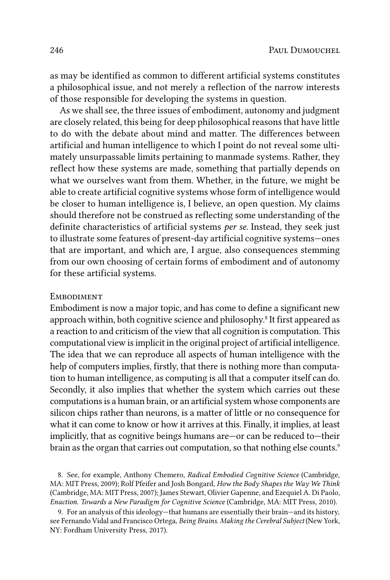as may be identified as common to different artificial systems constitutes a philosophical issue, and not merely a reflection of the narrow interests of those responsible for developing the systems in question.

As we shall see, the three issues of embodiment, autonomy and judgment are closely related, this being for deep philosophical reasons that have little to do with the debate about mind and matter. The differences between artificial and human intelligence to which I point do not reveal some ultimately unsurpassable limits pertaining to manmade systems. Rather, they reflect how these systems are made, something that partially depends on what we ourselves want from them. Whether, in the future, we might be able to create artificial cognitive systems whose form of intelligence would be closer to human intelligence is, I believe, an open question. My claims should therefore not be construed as reflecting some understanding of the definite characteristics of artificial systems *per se.* Instead, they seek just to illustrate some features of present-day artificial cognitive systems—ones that are important, and which are, I argue, also consequences stemming from our own choosing of certain forms of embodiment and of autonomy for these artificial systems.

#### **EMBODIMENT**

Embodiment is now a major topic, and has come to define a significant new approach within, both cognitive science and philosophy.<sup>8</sup> It first appeared as a reaction to and criticism of the view that all cognition is computation. This computational view is implicit in the original project of artificial intelligence. The idea that we can reproduce all aspects of human intelligence with the help of computers implies, firstly, that there is nothing more than computation to human intelligence, as computing is all that a computer itself can do. Secondly, it also implies that whether the system which carries out these computations is a human brain, or an artificial system whose components are silicon chips rather than neurons, is a matter of little or no consequence for what it can come to know or how it arrives at this. Finally, it implies, at least implicitly, that as cognitive beings humans are—or can be reduced to—their brain as the organ that carries out computation, so that nothing else counts.<sup>9</sup>

8. See, for example, Anthony Chemero, *Radical Embodied Cognitive Science* (Cambridge, MA: MIT Press, 2009); Rolf Pfeifer and Josh Bongard, *How the Body Shapes the Way We Think* (Cambridge, MA: MIT Press, 2007); James Stewart, Olivier Gapenne, and Ezequiel A. Di Paolo, *Enaction. Towards a New Paradigm for Cognitive Science* (Cambridge, MA: MIT Press, 2010).

9. For an analysis of this ideology—that humans are essentially their brain—and its history, see Fernando Vidal and Francisco Ortega, *Being Brains. Making the Cerebral Subject* (New York, NY: Fordham University Press, 2017).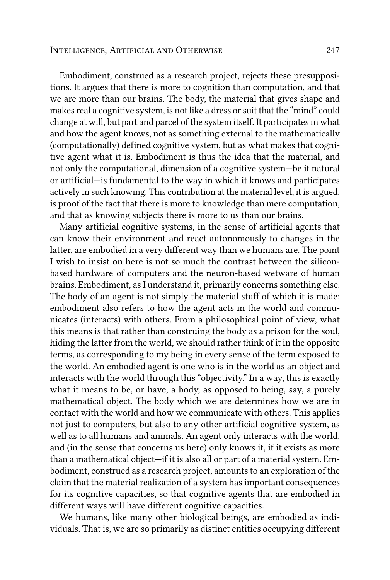#### Intelligence, Artificial and Otherwise 247

Embodiment, construed as a research project, rejects these presuppositions. It argues that there is more to cognition than computation, and that we are more than our brains. The body, the material that gives shape and makes real a cognitive system, is not like a dress or suit that the "mind" could change at will, but part and parcel of the system itself. It participates in what and how the agent knows, not as something external to the mathematically (computationally) defined cognitive system, but as what makes that cognitive agent what it is. Embodiment is thus the idea that the material, and not only the computational, dimension of a cognitive system—be it natural or artificial—is fundamental to the way in which it knows and participates actively in such knowing. This contribution at the material level, it is argued, is proof of the fact that there is more to knowledge than mere computation, and that as knowing subjects there is more to us than our brains.

Many artificial cognitive systems, in the sense of artificial agents that can know their environment and react autonomously to changes in the latter, are embodied in a very different way than we humans are. The point I wish to insist on here is not so much the contrast between the siliconbased hardware of computers and the neuron-based wetware of human brains. Embodiment, as I understand it, primarily concerns something else. The body of an agent is not simply the material stuff of which it is made: embodiment also refers to how the agent acts in the world and communicates (interacts) with others. From a philosophical point of view, what this means is that rather than construing the body as a prison for the soul, hiding the latter from the world, we should rather think of it in the opposite terms, as corresponding to my being in every sense of the term exposed to the world. An embodied agent is one who is in the world as an object and interacts with the world through this "objectivity." In a way, this is exactly what it means to be, or have, a body, as opposed to being, say, a purely mathematical object. The body which we are determines how we are in contact with the world and how we communicate with others. This applies not just to computers, but also to any other artificial cognitive system, as well as to all humans and animals. An agent only interacts with the world, and (in the sense that concerns us here) only knows it, if it exists as more than a mathematical object—if it is also all or part of a material system. Embodiment, construed as a research project, amounts to an exploration of the claim that the material realization of a system has important consequences for its cognitive capacities, so that cognitive agents that are embodied in different ways will have different cognitive capacities.

We humans, like many other biological beings, are embodied as individuals. That is, we are so primarily as distinct entities occupying different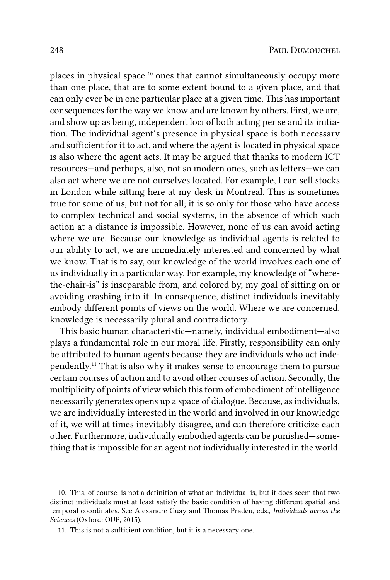places in physical space:<sup>10</sup> ones that cannot simultaneously occupy more than one place, that are to some extent bound to a given place, and that can only ever be in one particular place at a given time. This has important consequences for the way we know and are known by others. First, we are, and show up as being, independent loci of both acting per se and its initiation. The individual agent's presence in physical space is both necessary and sufficient for it to act, and where the agent is located in physical space is also where the agent acts. It may be argued that thanks to modern ICT resources—and perhaps, also, not so modern ones, such as letters—we can also act where we are not ourselves located. For example, I can sell stocks in London while sitting here at my desk in Montreal. This is sometimes true for some of us, but not for all; it is so only for those who have access to complex technical and social systems, in the absence of which such action at a distance is impossible. However, none of us can avoid acting where we are. Because our knowledge as individual agents is related to our ability to act, we are immediately interested and concerned by what we know. That is to say, our knowledge of the world involves each one of us individually in a particular way. For example, my knowledge of "wherethe-chair-is" is inseparable from, and colored by, my goal of sitting on or avoiding crashing into it. In consequence, distinct individuals inevitably embody different points of views on the world. Where we are concerned, knowledge is necessarily plural and contradictory.

This basic human characteristic—namely, individual embodiment—also plays a fundamental role in our moral life. Firstly, responsibility can only be attributed to human agents because they are individuals who act independently.11 That is also why it makes sense to encourage them to pursue certain courses of action and to avoid other courses of action. Secondly, the multiplicity of points of view which this form of embodiment of intelligence necessarily generates opens up a space of dialogue. Because, as individuals, we are individually interested in the world and involved in our knowledge of it, we will at times inevitably disagree, and can therefore criticize each other. Furthermore, individually embodied agents can be punished—something that is impossible for an agent not individually interested in the world.

10. This, of course, is not a definition of what an individual is, but it does seem that two distinct individuals must at least satisfy the basic condition of having different spatial and temporal coordinates. See Alexandre Guay and Thomas Pradeu, eds., *Individuals across the Sciences* (Oxford: OUP, 2015).

11. This is not a sufficient condition, but it is a necessary one.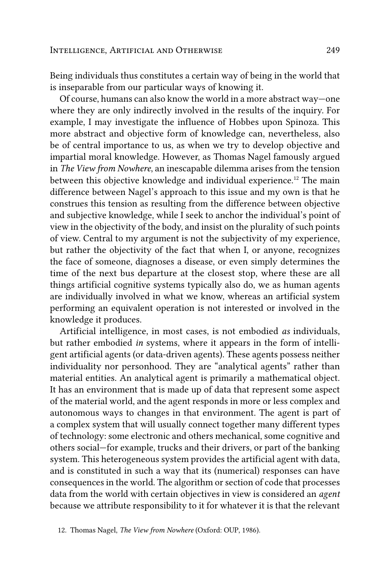Being individuals thus constitutes a certain way of being in the world that is inseparable from our particular ways of knowing it.

Of course, humans can also know the world in a more abstract way—one where they are only indirectly involved in the results of the inquiry. For example, I may investigate the influence of Hobbes upon Spinoza. This more abstract and objective form of knowledge can, nevertheless, also be of central importance to us, as when we try to develop objective and impartial moral knowledge. However, as Thomas Nagel famously argued in *The View from Nowhere*, an inescapable dilemma arises from the tension between this objective knowledge and individual experience.12 The main difference between Nagel's approach to this issue and my own is that he construes this tension as resulting from the difference between objective and subjective knowledge, while I seek to anchor the individual's point of view in the objectivity of the body, and insist on the plurality of such points of view. Central to my argument is not the subjectivity of my experience, but rather the objectivity of the fact that when I, or anyone, recognizes the face of someone, diagnoses a disease, or even simply determines the time of the next bus departure at the closest stop, where these are all things artificial cognitive systems typically also do, we as human agents are individually involved in what we know, whereas an artificial system performing an equivalent operation is not interested or involved in the knowledge it produces.

Artificial intelligence, in most cases, is not embodied *as* individuals, but rather embodied *in* systems, where it appears in the form of intelligent artificial agents (or data-driven agents). These agents possess neither individuality nor personhood. They are "analytical agents" rather than material entities. An analytical agent is primarily a mathematical object. It has an environment that is made up of data that represent some aspect of the material world, and the agent responds in more or less complex and autonomous ways to changes in that environment. The agent is part of a complex system that will usually connect together many different types of technology: some electronic and others mechanical, some cognitive and others social—for example, trucks and their drivers, or part of the banking system. This heterogeneous system provides the artificial agent with data, and is constituted in such a way that its (numerical) responses can have consequences in the world. The algorithm or section of code that processes data from the world with certain objectives in view is considered an *agent* because we attribute responsibility to it for whatever it is that the relevant

<sup>12.</sup> Thomas Nagel, *The View from Nowhere* (Oxford: OUP, 1986).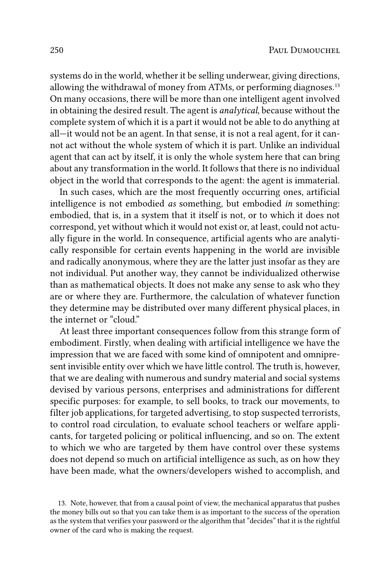systems do in the world, whether it be selling underwear, giving directions, allowing the withdrawal of money from ATMs, or performing diagnoses.<sup>13</sup> On many occasions, there will be more than one intelligent agent involved in obtaining the desired result. The agent is *analytical*, because without the complete system of which it is a part it would not be able to do anything at all—it would not be an agent. In that sense, it is not a real agent, for it cannot act without the whole system of which it is part. Unlike an individual agent that can act by itself, it is only the whole system here that can bring about any transformation in the world. It follows that there is no individual object in the world that corresponds to the agent: the agent is immaterial.

In such cases, which are the most frequently occurring ones, artificial intelligence is not embodied *as* something, but embodied *in* something: embodied, that is, in a system that it itself is not, or to which it does not correspond, yet without which it would not exist or, at least, could not actually figure in the world. In consequence, artificial agents who are analytically responsible for certain events happening in the world are invisible and radically anonymous, where they are the latter just insofar as they are not individual. Put another way, they cannot be individualized otherwise than as mathematical objects. It does not make any sense to ask who they are or where they are. Furthermore, the calculation of whatever function they determine may be distributed over many different physical places, in the internet or "cloud."

At least three important consequences follow from this strange form of embodiment. Firstly, when dealing with artificial intelligence we have the impression that we are faced with some kind of omnipotent and omnipresent invisible entity over which we have little control. The truth is, however, that we are dealing with numerous and sundry material and social systems devised by various persons, enterprises and administrations for different specific purposes: for example, to sell books, to track our movements, to filter job applications, for targeted advertising, to stop suspected terrorists, to control road circulation, to evaluate school teachers or welfare applicants, for targeted policing or political influencing, and so on. The extent to which we who are targeted by them have control over these systems does not depend so much on artificial intelligence as such, as on how they have been made, what the owners/developers wished to accomplish, and

<sup>13.</sup> Note, however, that from a causal point of view, the mechanical apparatus that pushes the money bills out so that you can take them is as important to the success of the operation as the system that verifies your password or the algorithm that "decides" that it is the rightful owner of the card who is making the request.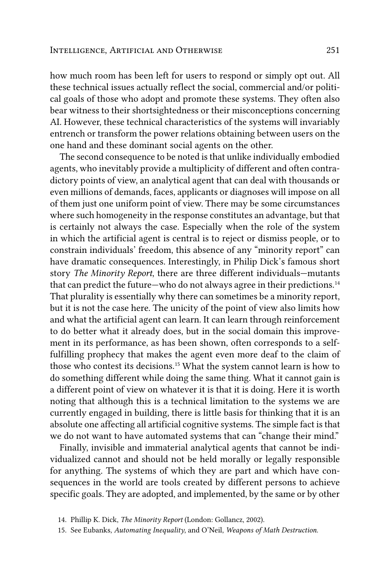how much room has been left for users to respond or simply opt out. All these technical issues actually reflect the social, commercial and/or political goals of those who adopt and promote these systems. They often also bear witness to their shortsightedness or their misconceptions concerning AI. However, these technical characteristics of the systems will invariably entrench or transform the power relations obtaining between users on the one hand and these dominant social agents on the other.

The second consequence to be noted is that unlike individually embodied agents, who inevitably provide a multiplicity of different and often contradictory points of view, an analytical agent that can deal with thousands or even millions of demands, faces, applicants or diagnoses will impose on all of them just one uniform point of view. There may be some circumstances where such homogeneity in the response constitutes an advantage, but that is certainly not always the case. Especially when the role of the system in which the artificial agent is central is to reject or dismiss people, or to constrain individuals' freedom, this absence of any "minority report" can have dramatic consequences. Interestingly, in Philip Dick's famous short story *The Minority Report*, there are three different individuals—mutants that can predict the future—who do not always agree in their predictions.<sup>14</sup> That plurality is essentially why there can sometimes be a minority report, but it is not the case here. The unicity of the point of view also limits how and what the artificial agent can learn. It can learn through reinforcement to do better what it already does, but in the social domain this improvement in its performance, as has been shown, often corresponds to a selffulfilling prophecy that makes the agent even more deaf to the claim of those who contest its decisions.15 What the system cannot learn is how to do something different while doing the same thing. What it cannot gain is a different point of view on whatever it is that it is doing. Here it is worth noting that although this is a technical limitation to the systems we are currently engaged in building, there is little basis for thinking that it is an absolute one affecting all artificial cognitive systems. The simple fact is that we do not want to have automated systems that can "change their mind."

Finally, invisible and immaterial analytical agents that cannot be individualized cannot and should not be held morally or legally responsible for anything. The systems of which they are part and which have consequences in the world are tools created by different persons to achieve specific goals. They are adopted, and implemented, by the same or by other

<sup>14.</sup> Phillip K. Dick, *The Minority Report* (London: Gollancz, 2002).

<sup>15.</sup> See Eubanks, *Automating Inequality*, and O'Neil, *Weapons of Math Destruction.*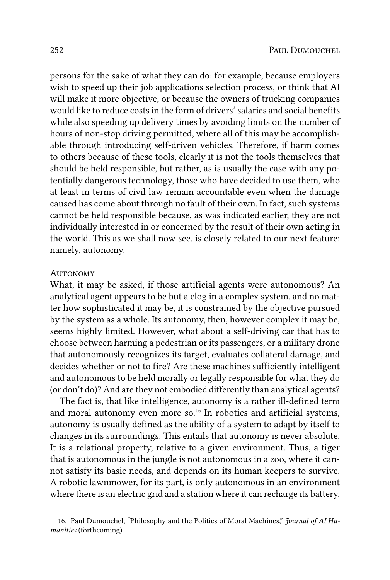persons for the sake of what they can do: for example, because employers wish to speed up their job applications selection process, or think that AI will make it more objective, or because the owners of trucking companies would like to reduce costs in the form of drivers' salaries and social benefits while also speeding up delivery times by avoiding limits on the number of hours of non-stop driving permitted, where all of this may be accomplishable through introducing self-driven vehicles. Therefore, if harm comes to others because of these tools, clearly it is not the tools themselves that should be held responsible, but rather, as is usually the case with any potentially dangerous technology, those who have decided to use them, who at least in terms of civil law remain accountable even when the damage caused has come about through no fault of their own. In fact, such systems cannot be held responsible because, as was indicated earlier, they are not individually interested in or concerned by the result of their own acting in the world. This as we shall now see, is closely related to our next feature: namely, autonomy.

#### **AUTONOMY**

What, it may be asked, if those artificial agents were autonomous? An analytical agent appears to be but a clog in a complex system, and no matter how sophisticated it may be, it is constrained by the objective pursued by the system as a whole. Its autonomy, then, however complex it may be, seems highly limited. However, what about a self-driving car that has to choose between harming a pedestrian or its passengers, or a military drone that autonomously recognizes its target, evaluates collateral damage, and decides whether or not to fire? Are these machines sufficiently intelligent and autonomous to be held morally or legally responsible for what they do (or don't do)? And are they not embodied differently than analytical agents?

The fact is, that like intelligence, autonomy is a rather ill-defined term and moral autonomy even more so.16 In robotics and artificial systems, autonomy is usually defined as the ability of a system to adapt by itself to changes in its surroundings. This entails that autonomy is never absolute. It is a relational property, relative to a given environment. Thus, a tiger that is autonomous in the jungle is not autonomous in a zoo, where it cannot satisfy its basic needs, and depends on its human keepers to survive. A robotic lawnmower, for its part, is only autonomous in an environment where there is an electric grid and a station where it can recharge its battery,

<sup>16.</sup> Paul Dumouchel, "Philosophy and the Politics of Moral Machines," *Journal of AI Humanities* (forthcoming).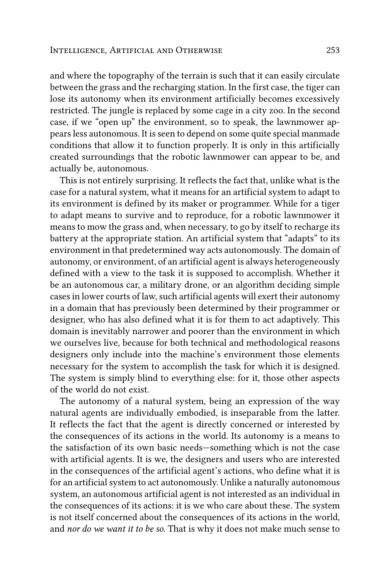and where the topography of the terrain is such that it can easily circulate between the grass and the recharging station. In the first case, the tiger can lose its autonomy when its environment artificially becomes excessively restricted. The jungle is replaced by some cage in a city zoo. In the second case, if we "open up" the environment, so to speak, the lawnmower appears less autonomous. It is seen to depend on some quite special manmade conditions that allow it to function properly. It is only in this artificially created surroundings that the robotic lawnmower can appear to be, and actually be, autonomous.

This is not entirely surprising. It reflects the fact that, unlike what is the case for a natural system, what it means for an artificial system to adapt to its environment is defined by its maker or programmer. While for a tiger to adapt means to survive and to reproduce, for a robotic lawnmower it means to mow the grass and, when necessary, to go by itself to recharge its battery at the appropriate station. An artificial system that "adapts" to its environment in that predetermined way acts autonomously. The domain of autonomy, or environment, of an artificial agent is always heterogeneously defined with a view to the task it is supposed to accomplish. Whether it be an autonomous car, a military drone, or an algorithm deciding simple cases in lower courts of law, such artificial agents will exert their autonomy in a domain that has previously been determined by their programmer or designer, who has also defined what it is for them to act adaptively. This domain is inevitably narrower and poorer than the environment in which we ourselves live, because for both technical and methodological reasons designers only include into the machine's environment those elements necessary for the system to accomplish the task for which it is designed. The system is simply blind to everything else: for it, those other aspects of the world do not exist.

The autonomy of a natural system, being an expression of the way natural agents are individually embodied, is inseparable from the latter. It reflects the fact that the agent is directly concerned or interested by the consequences of its actions in the world. Its autonomy is a means to the satisfaction of its own basic needs—something which is not the case with artificial agents. It is we, the designers and users who are interested in the consequences of the artificial agent's actions, who define what it is for an artificial system to act autonomously. Unlike a naturally autonomous system, an autonomous artificial agent is not interested as an individual in the consequences of its actions: it is we who care about these. The system is not itself concerned about the consequences of its actions in the world, and *nor do we want it to be so*. That is why it does not make much sense to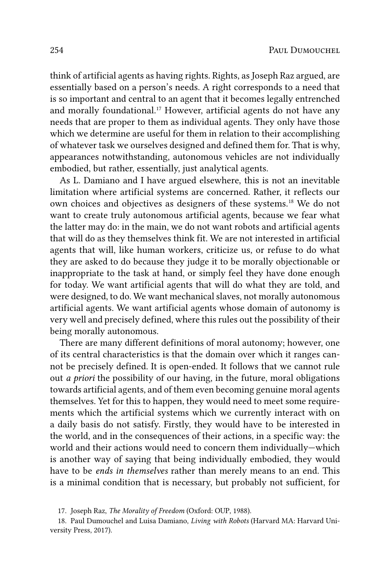think of artificial agents as having rights. Rights, as Joseph Raz argued, are essentially based on a person's needs. A right corresponds to a need that is so important and central to an agent that it becomes legally entrenched and morally foundational.<sup>17</sup> However, artificial agents do not have any needs that are proper to them as individual agents. They only have those which we determine are useful for them in relation to their accomplishing of whatever task we ourselves designed and defined them for. That is why, appearances notwithstanding, autonomous vehicles are not individually embodied, but rather, essentially, just analytical agents.

As L. Damiano and I have argued elsewhere, this is not an inevitable limitation where artificial systems are concerned. Rather, it reflects our own choices and objectives as designers of these systems.18 We do not want to create truly autonomous artificial agents, because we fear what the latter may do: in the main, we do not want robots and artificial agents that will do as they themselves think fit. We are not interested in artificial agents that will, like human workers, criticize us, or refuse to do what they are asked to do because they judge it to be morally objectionable or inappropriate to the task at hand, or simply feel they have done enough for today. We want artificial agents that will do what they are told, and were designed, to do. We want mechanical slaves, not morally autonomous artificial agents. We want artificial agents whose domain of autonomy is very well and precisely defined, where this rules out the possibility of their being morally autonomous.

There are many different definitions of moral autonomy; however, one of its central characteristics is that the domain over which it ranges cannot be precisely defined. It is open-ended. It follows that we cannot rule out *a priori* the possibility of our having, in the future, moral obligations towards artificial agents, and of them even becoming genuine moral agents themselves. Yet for this to happen, they would need to meet some requirements which the artificial systems which we currently interact with on a daily basis do not satisfy. Firstly, they would have to be interested in the world, and in the consequences of their actions, in a specific way: the world and their actions would need to concern them individually—which is another way of saying that being individually embodied, they would have to be *ends in themselves* rather than merely means to an end. This is a minimal condition that is necessary, but probably not sufficient, for

<sup>17.</sup> Joseph Raz, *The Morality of Freedom* (Oxford: OUP, 1988).

<sup>18.</sup> Paul Dumouchel and Luisa Damiano, *Living with Robots* (Harvard MA: Harvard University Press, 2017).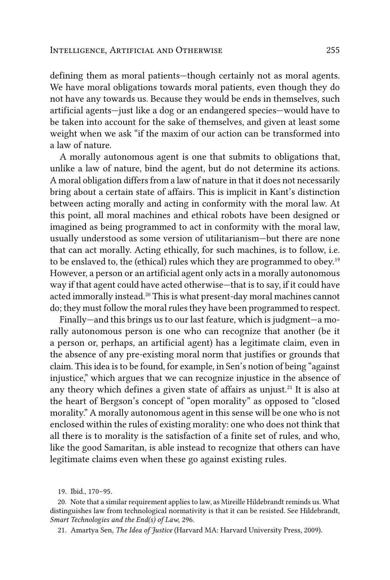defining them as moral patients—though certainly not as moral agents. We have moral obligations towards moral patients, even though they do not have any towards us. Because they would be ends in themselves, such artificial agents—just like a dog or an endangered species—would have to be taken into account for the sake of themselves, and given at least some weight when we ask "if the maxim of our action can be transformed into a law of nature.

A morally autonomous agent is one that submits to obligations that, unlike a law of nature, bind the agent, but do not determine its actions. A moral obligation differs from a law of nature in that it does not necessarily bring about a certain state of affairs. This is implicit in Kant's distinction between acting morally and acting in conformity with the moral law. At this point, all moral machines and ethical robots have been designed or imagined as being programmed to act in conformity with the moral law, usually understood as some version of utilitarianism—but there are none that can act morally. Acting ethically, for such machines, is to follow, i.e. to be enslaved to, the (ethical) rules which they are programmed to obey.19 However, a person or an artificial agent only acts in a morally autonomous way if that agent could have acted otherwise—that is to say, if it could have acted immorally instead.20 This is what present-day moral machines cannot do; they must follow the moral rules they have been programmed to respect.

Finally—and this brings us to our last feature, which is judgment—a morally autonomous person is one who can recognize that another (be it a person or, perhaps, an artificial agent) has a legitimate claim, even in the absence of any pre-existing moral norm that justifies or grounds that claim. This idea is to be found, for example, in Sen's notion of being "against injustice," which argues that we can recognize injustice in the absence of any theory which defines a given state of affairs as unjust.<sup>21</sup> It is also at the heart of Bergson's concept of "open morality" as opposed to "closed morality." A morally autonomous agent in this sense will be one who is not enclosed within the rules of existing morality: one who does not think that all there is to morality is the satisfaction of a finite set of rules, and who, like the good Samaritan, is able instead to recognize that others can have legitimate claims even when these go against existing rules.

<sup>19.</sup> Ibid., 170–95.

<sup>20.</sup> Note that a similar requirement applies to law, as Mireille Hildebrandt reminds us. What distinguishes law from technological normativity is that it can be resisted. See Hildebrandt, *Smart Technologies and the End(s) of Law*, 296.

<sup>21.</sup> Amartya Sen, *The Idea of Justice* (Harvard MA: Harvard University Press, 2009).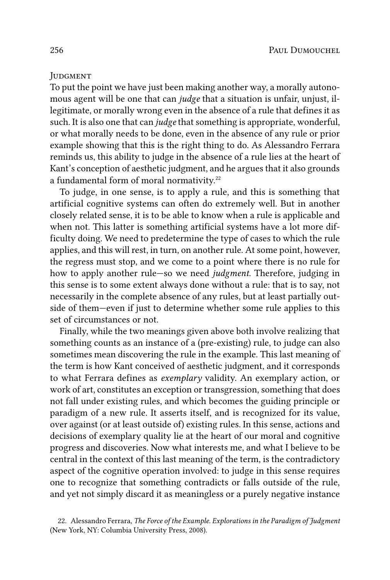#### **JUDGMENT**

To put the point we have just been making another way, a morally autonomous agent will be one that can *judge* that a situation is unfair, unjust, illegitimate, or morally wrong even in the absence of a rule that defines it as such. It is also one that can *judge* that something is appropriate, wonderful, or what morally needs to be done, even in the absence of any rule or prior example showing that this is the right thing to do. As Alessandro Ferrara reminds us, this ability to judge in the absence of a rule lies at the heart of Kant's conception of aesthetic judgment, and he argues that it also grounds a fundamental form of moral normativity.<sup>22</sup>

To judge, in one sense, is to apply a rule, and this is something that artificial cognitive systems can often do extremely well. But in another closely related sense, it is to be able to know when a rule is applicable and when not. This latter is something artificial systems have a lot more difficulty doing. We need to predetermine the type of cases to which the rule applies, and this will rest, in turn, on another rule. At some point, however, the regress must stop, and we come to a point where there is no rule for how to apply another rule—so we need *judgment*. Therefore, judging in this sense is to some extent always done without a rule: that is to say, not necessarily in the complete absence of any rules, but at least partially outside of them—even if just to determine whether some rule applies to this set of circumstances or not.

Finally, while the two meanings given above both involve realizing that something counts as an instance of a (pre-existing) rule, to judge can also sometimes mean discovering the rule in the example. This last meaning of the term is how Kant conceived of aesthetic judgment, and it corresponds to what Ferrara defines as *exemplary* validity. An exemplary action, or work of art, constitutes an exception or transgression, something that does not fall under existing rules, and which becomes the guiding principle or paradigm of a new rule. It asserts itself, and is recognized for its value, over against (or at least outside of) existing rules. In this sense, actions and decisions of exemplary quality lie at the heart of our moral and cognitive progress and discoveries. Now what interests me, and what I believe to be central in the context of this last meaning of the term, is the contradictory aspect of the cognitive operation involved: to judge in this sense requires one to recognize that something contradicts or falls outside of the rule, and yet not simply discard it as meaningless or a purely negative instance

<sup>22.</sup> Alessandro Ferrara, *The Force of the Example. Explorations in the Paradigm of Judgment* (New York, NY: Columbia University Press, 2008).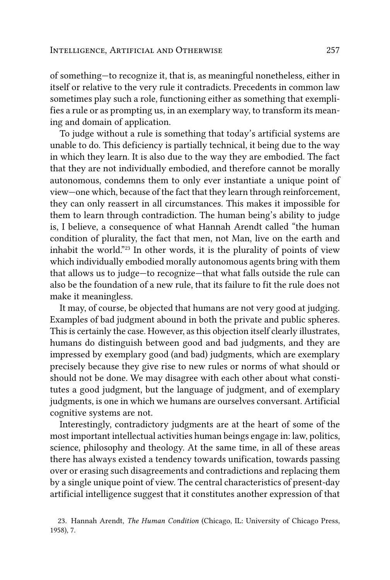of something—to recognize it, that is, as meaningful nonetheless, either in itself or relative to the very rule it contradicts. Precedents in common law sometimes play such a role, functioning either as something that exemplifies a rule or as prompting us, in an exemplary way, to transform its meaning and domain of application.

To judge without a rule is something that today's artificial systems are unable to do. This deficiency is partially technical, it being due to the way in which they learn. It is also due to the way they are embodied. The fact that they are not individually embodied, and therefore cannot be morally autonomous, condemns them to only ever instantiate a unique point of view—one which, because of the fact that they learn through reinforcement, they can only reassert in all circumstances. This makes it impossible for them to learn through contradiction. The human being's ability to judge is, I believe, a consequence of what Hannah Arendt called "the human condition of plurality, the fact that men, not Man, live on the earth and inhabit the world."23 In other words, it is the plurality of points of view which individually embodied morally autonomous agents bring with them that allows us to judge—to recognize—that what falls outside the rule can also be the foundation of a new rule, that its failure to fit the rule does not make it meaningless.

It may, of course, be objected that humans are not very good at judging. Examples of bad judgment abound in both the private and public spheres. This is certainly the case. However, as this objection itself clearly illustrates, humans do distinguish between good and bad judgments, and they are impressed by exemplary good (and bad) judgments, which are exemplary precisely because they give rise to new rules or norms of what should or should not be done. We may disagree with each other about what constitutes a good judgment, but the language of judgment, and of exemplary judgments, is one in which we humans are ourselves conversant. Artificial cognitive systems are not.

Interestingly, contradictory judgments are at the heart of some of the most important intellectual activities human beings engage in: law, politics, science, philosophy and theology. At the same time, in all of these areas there has always existed a tendency towards unification, towards passing over or erasing such disagreements and contradictions and replacing them by a single unique point of view. The central characteristics of present-day artificial intelligence suggest that it constitutes another expression of that

<sup>23.</sup> Hannah Arendt, *The Human Condition* (Chicago, IL: University of Chicago Press, 1958), 7.